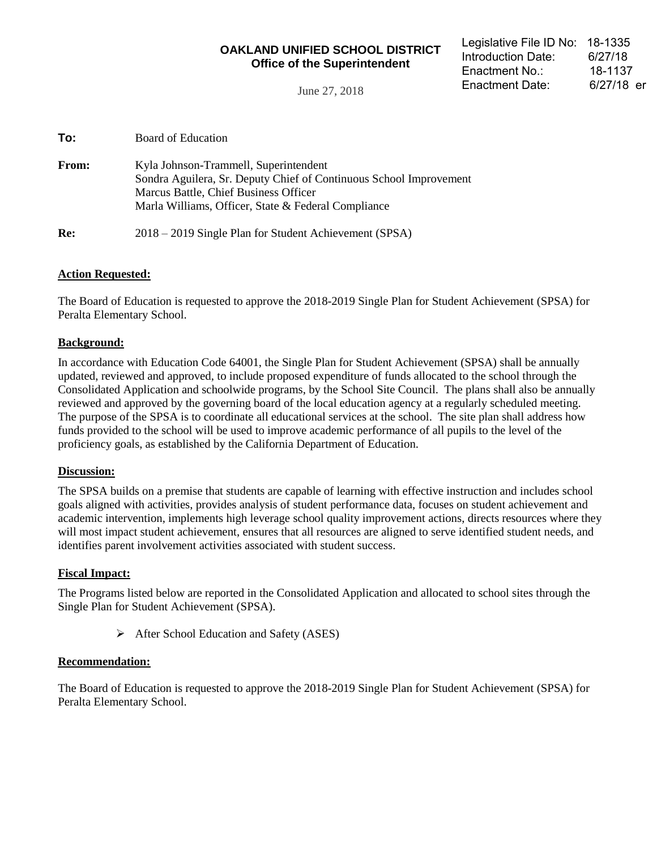## **OAKLAND UNIFIED SCHOOL DISTRICT Office of the Superintendent**

June 27, 2018

| <b>From:</b> | Kyla Johnson-Trammell, Superintendent<br>Sondra Aguilera, Sr. Deputy Chief of Continuous School Improvement<br>Marcus Battle, Chief Business Officer<br>Marla Williams, Officer, State & Federal Compliance |
|--------------|-------------------------------------------------------------------------------------------------------------------------------------------------------------------------------------------------------------|
| Re:          | 2018 – 2019 Single Plan for Student Achievement (SPSA)                                                                                                                                                      |

## **Action Requested:**

The Board of Education is requested to approve the 2018-2019 Single Plan for Student Achievement (SPSA) for Peralta Elementary School.

## **Background:**

In accordance with Education Code 64001, the Single Plan for Student Achievement (SPSA) shall be annually updated, reviewed and approved, to include proposed expenditure of funds allocated to the school through the Consolidated Application and schoolwide programs, by the School Site Council. The plans shall also be annually reviewed and approved by the governing board of the local education agency at a regularly scheduled meeting. The purpose of the SPSA is to coordinate all educational services at the school. The site plan shall address how funds provided to the school will be used to improve academic performance of all pupils to the level of the proficiency goals, as established by the California Department of Education.

## **Discussion:**

The SPSA builds on a premise that students are capable of learning with effective instruction and includes school goals aligned with activities, provides analysis of student performance data, focuses on student achievement and academic intervention, implements high leverage school quality improvement actions, directs resources where they will most impact student achievement, ensures that all resources are aligned to serve identified student needs, and identifies parent involvement activities associated with student success.

## **Fiscal Impact:**

The Programs listed below are reported in the Consolidated Application and allocated to school sites through the Single Plan for Student Achievement (SPSA).

 $\triangleright$  After School Education and Safety (ASES)

## **Recommendation:**

The Board of Education is requested to approve the 2018-2019 Single Plan for Student Achievement (SPSA) for Peralta Elementary School.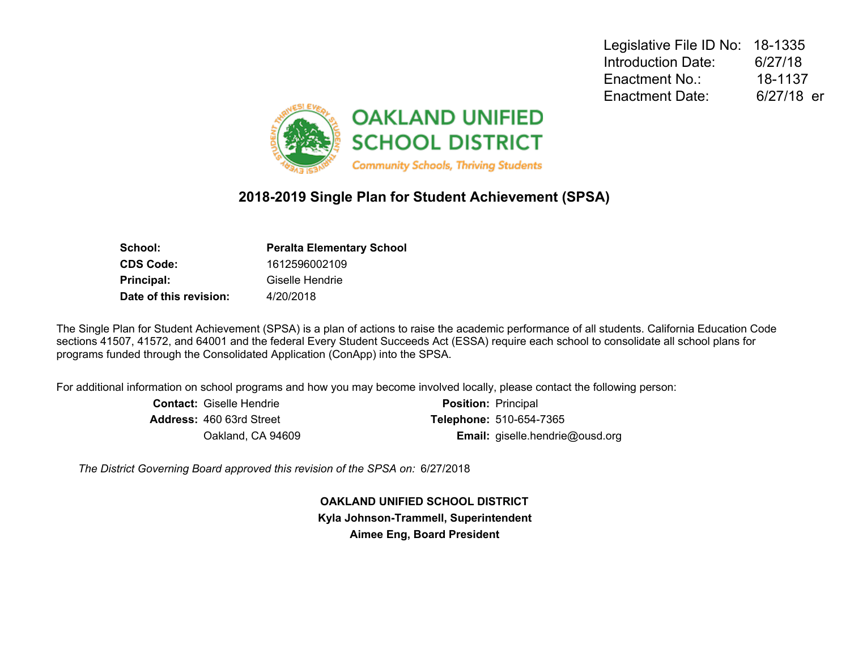Legislative File ID No: 18-1335 Introduction Date: 6/27/18 Enactment No.: 18-1137 Enactment Date: 6/27/18 er



## **2018-2019 Single Plan for Student Achievement (SPSA)**

| <b>Peralta Elementary School</b> |
|----------------------------------|
| 1612596002109                    |
| Giselle Hendrie                  |
| 4/20/2018                        |
|                                  |

The Single Plan for Student Achievement (SPSA) is a plan of actions to raise the academic performance of all students. California Education Code sections 41507, 41572, and 64001 and the federal Every Student Succeeds Act (ESSA) require each school to consolidate all school plans for programs funded through the Consolidated Application (ConApp) into the SPSA.

For additional information on school programs and how you may become involved locally, please contact the following person:

| <b>Contact:</b> Giselle Hendrie | <b>Position: Principal</b>             |
|---------------------------------|----------------------------------------|
| <b>Address: 460 63rd Street</b> | <b>Telephone: 510-654-7365</b>         |
| Oakland, CA 94609               | <b>Email:</b> giselle.hendrie@ousd.org |

*The District Governing Board approved this revision of the SPSA on:* 6/27/2018

**OAKLAND UNIFIED SCHOOL DISTRICT Kyla Johnson-Trammell, Superintendent Aimee Eng, Board President**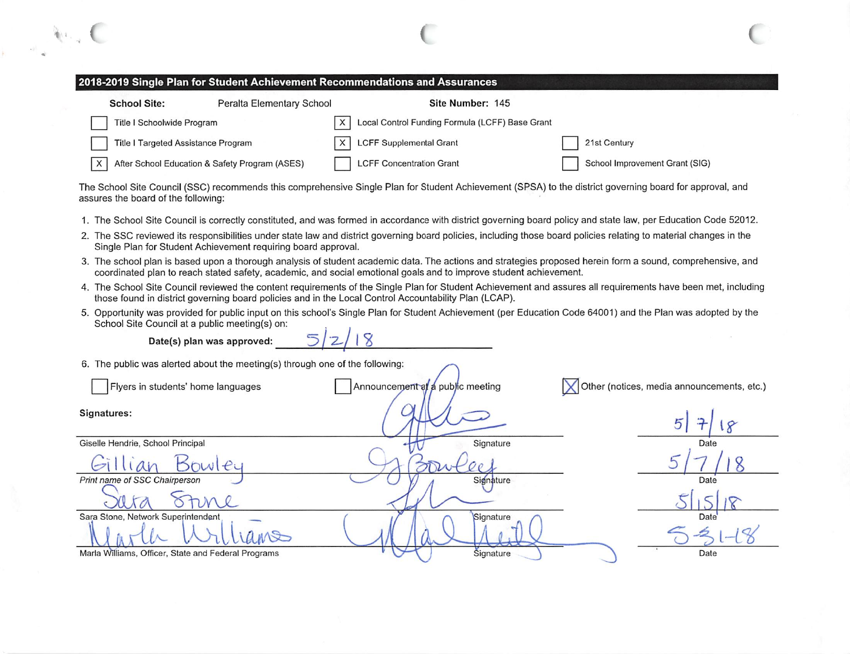### 2018-2019 Single Plan for Student Achievement Recommendations and Assurances

| <b>School Site:</b>                 | Peralta Elementary School                      |          | Site Number: 145                                |                                |
|-------------------------------------|------------------------------------------------|----------|-------------------------------------------------|--------------------------------|
| Title I Schoolwide Program          |                                                | $\times$ | Local Control Funding Formula (LCFF) Base Grant |                                |
| Title I Targeted Assistance Program |                                                |          | $X$ LCFF Supplemental Grant                     | 21st Century                   |
| X                                   | After School Education & Safety Program (ASES) |          | <b>LCFF Concentration Grant</b>                 | School Improvement Grant (SIG) |

The School Site Council (SSC) recommends this comprehensive Single Plan for Student Achievement (SPSA) to the district governing board for approval, and assures the board of the following:

- 1. The School Site Council is correctly constituted, and was formed in accordance with district governing board policy and state law, per Education Code 52012.
- 2. The SSC reviewed its responsibilities under state law and district governing board policies, including those board policies relating to material changes in the Single Plan for Student Achievement requiring board approval.
- 3. The school plan is based upon a thorough analysis of student academic data. The actions and strategies proposed herein form a sound, comprehensive, and coordinated plan to reach stated safety, academic, and social emotional goals and to improve student achievement.
- 4. The School Site Council reviewed the content requirements of the Single Plan for Student Achievement and assures all requirements have been met, including those found in district governing board policies and in the Local Control Accountability Plan (LCAP).
- 5. Opportunity was provided for public input on this school's Single Plan for Student Achievement (per Education Code 64001) and the Plan was adopted by the School Site Council at a public meeting(s) on:

Date(s) plan was approved:

6. The public was alerted about the meeting(s) through one of the following:

| Flyers in students' home languages                  | Announcement at a public meeting | Other (notices, media announcements, etc.) |
|-----------------------------------------------------|----------------------------------|--------------------------------------------|
| Signatures:                                         |                                  |                                            |
| Giselle Hendrie, School Principal                   | Signature                        | Date                                       |
| Bowley                                              |                                  |                                            |
| Print name of SSC Chairperson                       | Signature                        | Date                                       |
|                                                     |                                  |                                            |
| Sara Stone, Network Superintendent                  | Signature                        | Date <sup>®</sup>                          |
|                                                     |                                  |                                            |
| Marla Williams, Officer, State and Federal Programs | Signature                        | Date                                       |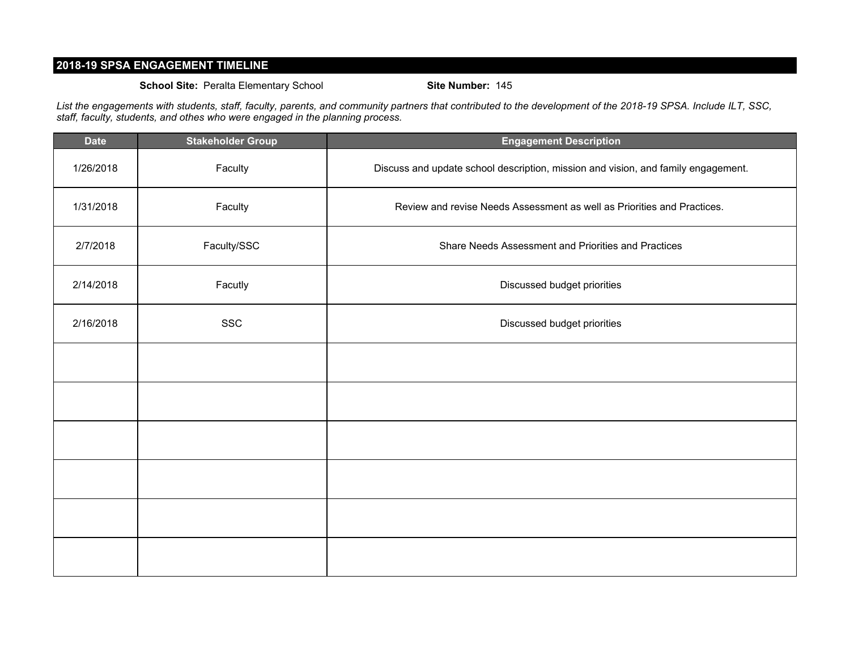## **2018-19 SPSA ENGAGEMENT TIMELINE**

### **School Site:** Peralta Elementary School **Site Number:** 145

*List the engagements with students, staff, faculty, parents, and community partners that contributed to the development of the 2018-19 SPSA. Include ILT, SSC, staff, faculty, students, and othes who were engaged in the planning process.*

| <b>Date</b> | <b>Stakeholder Group</b> | <b>Engagement Description</b>                                                     |
|-------------|--------------------------|-----------------------------------------------------------------------------------|
| 1/26/2018   | Faculty                  | Discuss and update school description, mission and vision, and family engagement. |
| 1/31/2018   | Faculty                  | Review and revise Needs Assessment as well as Priorities and Practices.           |
| 2/7/2018    | Faculty/SSC              | Share Needs Assessment and Priorities and Practices                               |
| 2/14/2018   | Facutly                  | Discussed budget priorities                                                       |
| 2/16/2018   | <b>SSC</b>               | Discussed budget priorities                                                       |
|             |                          |                                                                                   |
|             |                          |                                                                                   |
|             |                          |                                                                                   |
|             |                          |                                                                                   |
|             |                          |                                                                                   |
|             |                          |                                                                                   |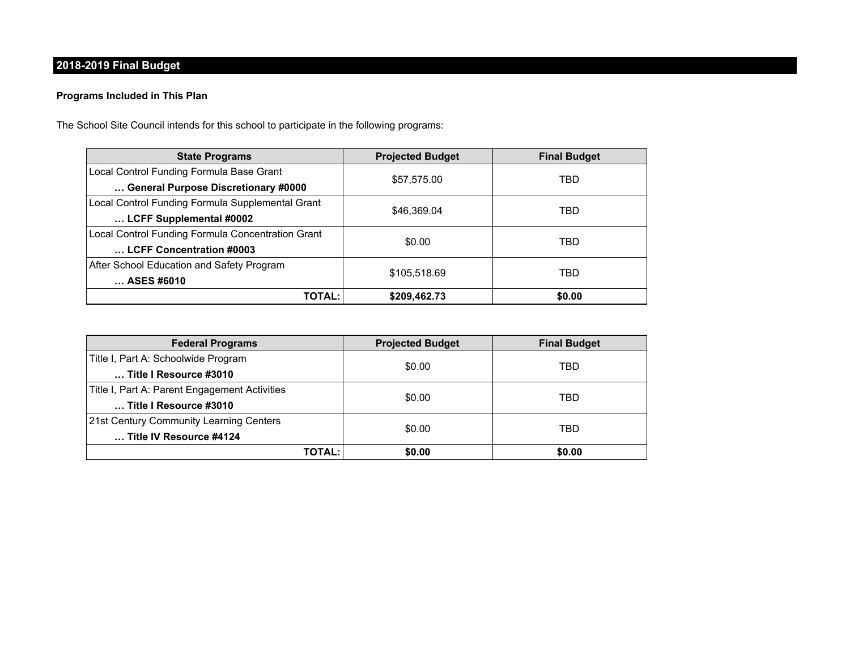## **2018-2019 Final Budget**

## **Programs Included in This Plan**

The School Site Council intends for this school to participate in the following programs:

| <b>State Programs</b>                             | <b>Projected Budget</b> | <b>Final Budget</b> |
|---------------------------------------------------|-------------------------|---------------------|
| Local Control Funding Formula Base Grant          | \$57,575.00             | TBD                 |
| General Purpose Discretionary #0000               |                         |                     |
| Local Control Funding Formula Supplemental Grant  | \$46,369.04             | TBD                 |
| LCFF Supplemental #0002                           |                         |                     |
| Local Control Funding Formula Concentration Grant | \$0.00                  | TBD                 |
| LCFF Concentration #0003                          |                         |                     |
| After School Education and Safety Program         |                         | TBD                 |
| ASES #6010                                        | \$105,518.69            |                     |
| <b>TOTAL:</b>                                     | \$209,462.73            | \$0.00              |

| <b>Federal Programs</b>                       | <b>Projected Budget</b> | <b>Final Budget</b> |  |
|-----------------------------------------------|-------------------------|---------------------|--|
| Title I, Part A: Schoolwide Program           | \$0.00                  | TBD                 |  |
| Title I Resource #3010                        |                         |                     |  |
| Title I, Part A: Parent Engagement Activities | \$0.00                  | TBD                 |  |
| Title I Resource #3010                        |                         |                     |  |
| 21st Century Community Learning Centers       |                         |                     |  |
| Title IV Resource #4124                       | \$0.00                  | TBD                 |  |
| TOTAL:                                        | \$0.00                  | \$0.00              |  |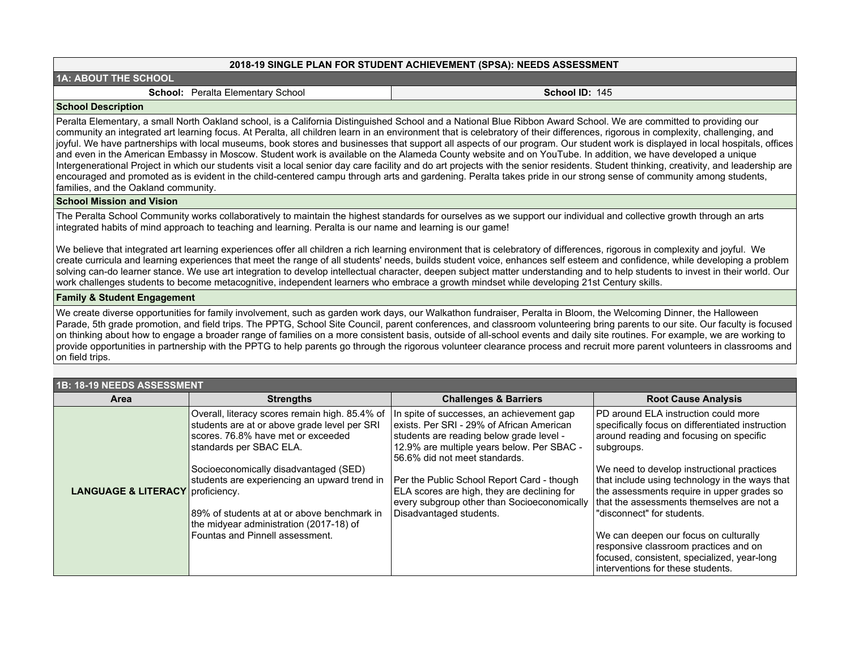#### **2018-19 SINGLE PLAN FOR STUDENT ACHIEVEMENT (SPSA): NEEDS ASSESSMENT**

| 1A: ABOUT THE SCHOOL |  |  |  |  |  |
|----------------------|--|--|--|--|--|
|----------------------|--|--|--|--|--|

#### **School: Peralta Elementary School <b>School ID:** 145

#### **School Description**

Peralta Elementary, a small North Oakland school, is a California Distinguished School and a National Blue Ribbon Award School. We are committed to providing our community an integrated art learning focus. At Peralta, all children learn in an environment that is celebratory of their differences, rigorous in complexity, challenging, and joyful. We have partnerships with local museums, book stores and businesses that support all aspects of our program. Our student work is displayed in local hospitals, offices and even in the American Embassy in Moscow. Student work is available on the Alameda County website and on YouTube. In addition, we have developed a unique Intergenerational Project in which our students visit a local senior day care facility and do art projects with the senior residents. Student thinking, creativity, and leadership are encouraged and promoted as is evident in the child-centered campu through arts and gardening. Peralta takes pride in our strong sense of community among students, families, and the Oakland community.

#### **School Mission and Vision**

The Peralta School Community works collaboratively to maintain the highest standards for ourselves as we support our individual and collective growth through an arts integrated habits of mind approach to teaching and learning. Peralta is our name and learning is our game!

We believe that integrated art learning experiences offer all children a rich learning environment that is celebratory of differences, rigorous in complexity and joyful. We create curricula and learning experiences that meet the range of all students' needs, builds student voice, enhances self esteem and confidence, while developing a problem solving can-do learner stance. We use art integration to develop intellectual character, deepen subject matter understanding and to help students to invest in their world. Our work challenges students to become metacognitive, independent learners who embrace a growth mindset while developing 21st Century skills.

#### **Family & Student Engagement**

We create diverse opportunities for family involvement, such as garden work days, our Walkathon fundraiser, Peralta in Bloom, the Welcoming Dinner, the Halloween Parade, 5th grade promotion, and field trips. The PPTG, School Site Council, parent conferences, and classroom volunteering bring parents to our site. Our faculty is focused on thinking about how to engage a broader range of families on a more consistent basis, outside of all-school events and daily site routines. For example, we are working to provide opportunities in partnership with the PPTG to help parents go through the rigorous volunteer clearance process and recruit more parent volunteers in classrooms and  $|$ on field trips.

| 1B: 18-19 NEEDS ASSESSMENT                  |                                                                                                                                                                                                                                                                                                                                                                                       |                                                                                                                                                                                                                                                                                                                                                                                          |                                                                                                                                                                                                                                                                                                                                                                                                                                                                                                                                                  |  |  |
|---------------------------------------------|---------------------------------------------------------------------------------------------------------------------------------------------------------------------------------------------------------------------------------------------------------------------------------------------------------------------------------------------------------------------------------------|------------------------------------------------------------------------------------------------------------------------------------------------------------------------------------------------------------------------------------------------------------------------------------------------------------------------------------------------------------------------------------------|--------------------------------------------------------------------------------------------------------------------------------------------------------------------------------------------------------------------------------------------------------------------------------------------------------------------------------------------------------------------------------------------------------------------------------------------------------------------------------------------------------------------------------------------------|--|--|
| <b>Area</b>                                 | <b>Strengths</b>                                                                                                                                                                                                                                                                                                                                                                      | <b>Challenges &amp; Barriers</b>                                                                                                                                                                                                                                                                                                                                                         | <b>Root Cause Analysis</b>                                                                                                                                                                                                                                                                                                                                                                                                                                                                                                                       |  |  |
| <b>LANGUAGE &amp; LITERACY</b> proficiency. | Overall, literacy scores remain high. 85.4% of<br>students are at or above grade level per SRI<br>scores. 76.8% have met or exceeded<br>standards per SBAC ELA.<br>Socioeconomically disadvantaged (SED)<br>students are experiencing an upward trend in<br>89% of students at at or above benchmark in<br>the midyear administration (2017-18) of<br>Fountas and Pinnell assessment. | In spite of successes, an achievement gap<br>exists. Per SRI - 29% of African American<br>students are reading below grade level -<br>12.9% are multiple years below. Per SBAC -<br>56.6% did not meet standards.<br>Per the Public School Report Card - though<br>ELA scores are high, they are declining for<br>every subgroup other than Socioeconomically<br>Disadvantaged students. | PD around ELA instruction could more<br>specifically focus on differentiated instruction<br>around reading and focusing on specific<br>subgroups.<br>We need to develop instructional practices<br>that include using technology in the ways that<br>the assessments require in upper grades so<br>that the assessments themselves are not a<br>"disconnect" for students.<br>We can deepen our focus on culturally<br>responsive classroom practices and on<br>focused, consistent, specialized, year-long<br>interventions for these students. |  |  |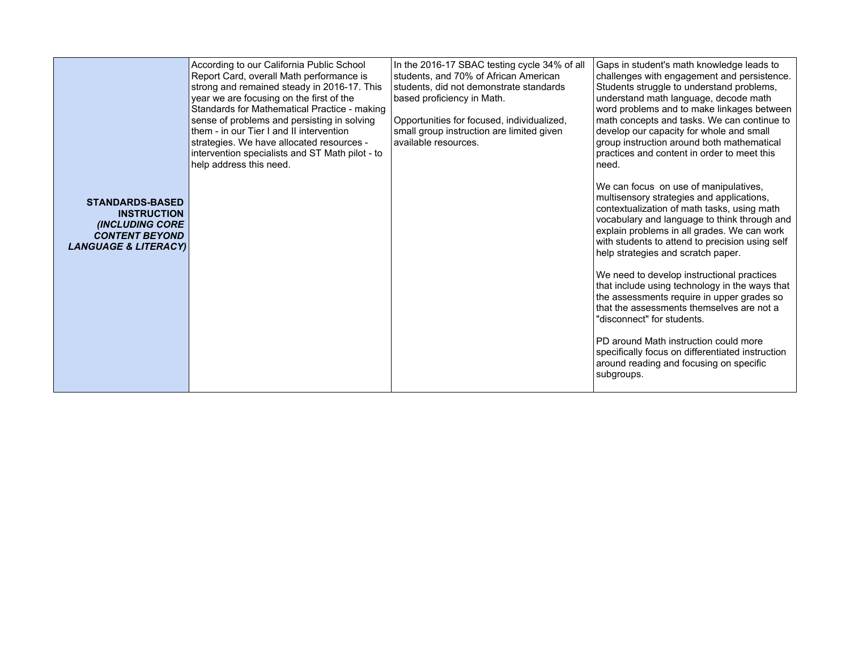|                                                                                                                                    | According to our California Public School<br>Report Card, overall Math performance is<br>strong and remained steady in 2016-17. This<br>year we are focusing on the first of the<br>Standards for Mathematical Practice - making<br>sense of problems and persisting in solving<br>them - in our Tier I and II intervention<br>strategies. We have allocated resources -<br>intervention specialists and ST Math pilot - to<br>help address this need. | In the 2016-17 SBAC testing cycle 34% of all<br>students, and 70% of African American<br>students, did not demonstrate standards<br>based proficiency in Math.<br>Opportunities for focused, individualized,<br>small group instruction are limited given<br>available resources. | Gaps in student's math knowledge leads to<br>challenges with engagement and persistence.<br>Students struggle to understand problems,<br>understand math language, decode math<br>word problems and to make linkages between<br>math concepts and tasks. We can continue to<br>develop our capacity for whole and small<br>group instruction around both mathematical<br>practices and content in order to meet this<br>Ineed. |
|------------------------------------------------------------------------------------------------------------------------------------|--------------------------------------------------------------------------------------------------------------------------------------------------------------------------------------------------------------------------------------------------------------------------------------------------------------------------------------------------------------------------------------------------------------------------------------------------------|-----------------------------------------------------------------------------------------------------------------------------------------------------------------------------------------------------------------------------------------------------------------------------------|--------------------------------------------------------------------------------------------------------------------------------------------------------------------------------------------------------------------------------------------------------------------------------------------------------------------------------------------------------------------------------------------------------------------------------|
| <b>STANDARDS-BASED</b><br><b>INSTRUCTION</b><br><b>(INCLUDING CORE</b><br><b>CONTENT BEYOND</b><br><b>LANGUAGE &amp; LITERACY)</b> |                                                                                                                                                                                                                                                                                                                                                                                                                                                        |                                                                                                                                                                                                                                                                                   | We can focus on use of manipulatives,<br>multisensory strategies and applications,<br>contextualization of math tasks, using math<br>vocabulary and language to think through and<br>explain problems in all grades. We can work<br>with students to attend to precision using self<br>help strategies and scratch paper.                                                                                                      |
|                                                                                                                                    |                                                                                                                                                                                                                                                                                                                                                                                                                                                        |                                                                                                                                                                                                                                                                                   | We need to develop instructional practices<br>that include using technology in the ways that<br>the assessments require in upper grades so<br>that the assessments themselves are not a<br>"disconnect" for students.                                                                                                                                                                                                          |
|                                                                                                                                    |                                                                                                                                                                                                                                                                                                                                                                                                                                                        |                                                                                                                                                                                                                                                                                   | PD around Math instruction could more<br>specifically focus on differentiated instruction<br>around reading and focusing on specific<br>subgroups.                                                                                                                                                                                                                                                                             |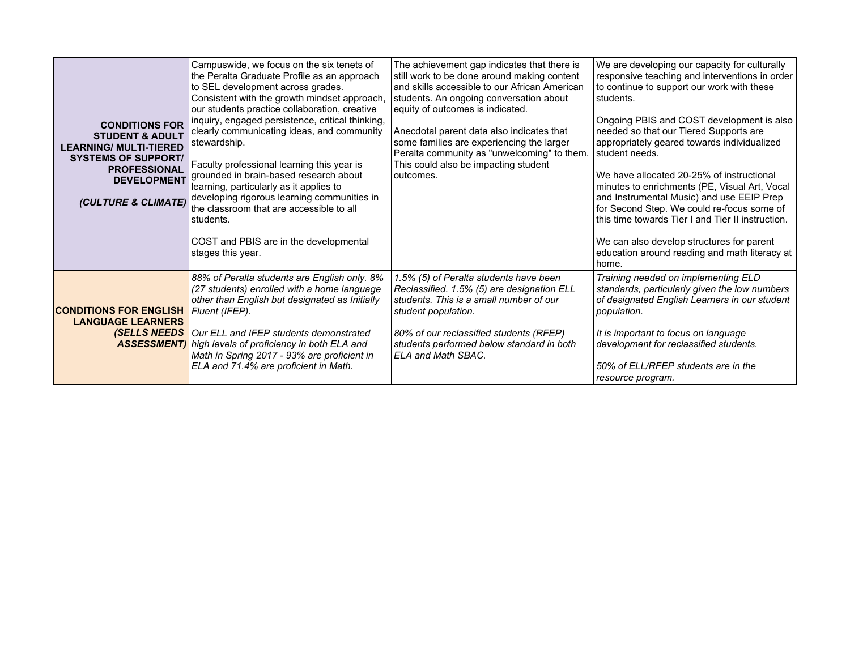| <b>CONDITIONS FOR</b><br><b>STUDENT &amp; ADULT</b><br><b>LEARNING/ MULTI-TIERED</b><br><b>SYSTEMS OF SUPPORT/</b><br><b>PROFESSIONAL</b><br><b>DEVELOPMENT</b><br>(CULTURE & CLIMATE) | Campuswide, we focus on the six tenets of<br>the Peralta Graduate Profile as an approach<br>to SEL development across grades.<br>Consistent with the growth mindset approach,<br>our students practice collaboration, creative<br>inquiry, engaged persistence, critical thinking,<br>clearly communicating ideas, and community<br>stewardship.<br>Faculty professional learning this year is<br>grounded in brain-based research about<br>learning, particularly as it applies to<br>developing rigorous learning communities in<br>the classroom that are accessible to all<br>students.<br>COST and PBIS are in the developmental<br>stages this year. | The achievement gap indicates that there is<br>still work to be done around making content<br>and skills accessible to our African American<br>students. An ongoing conversation about<br>equity of outcomes is indicated.<br>Anecdotal parent data also indicates that<br>some families are experiencing the larger<br>Peralta community as "unwelcoming" to them.<br>This could also be impacting student<br>outcomes. | We are developing our capacity for culturally<br>responsive teaching and interventions in order<br>to continue to support our work with these<br>students.<br>Ongoing PBIS and COST development is also<br>needed so that our Tiered Supports are<br>appropriately geared towards individualized<br>student needs.<br>We have allocated 20-25% of instructional<br>minutes to enrichments (PE, Visual Art, Vocal<br>and Instrumental Music) and use EEIP Prep<br>for Second Step. We could re-focus some of<br>this time towards Tier I and Tier II instruction.<br>We can also develop structures for parent<br>education around reading and math literacy at<br>home. |
|----------------------------------------------------------------------------------------------------------------------------------------------------------------------------------------|------------------------------------------------------------------------------------------------------------------------------------------------------------------------------------------------------------------------------------------------------------------------------------------------------------------------------------------------------------------------------------------------------------------------------------------------------------------------------------------------------------------------------------------------------------------------------------------------------------------------------------------------------------|--------------------------------------------------------------------------------------------------------------------------------------------------------------------------------------------------------------------------------------------------------------------------------------------------------------------------------------------------------------------------------------------------------------------------|-------------------------------------------------------------------------------------------------------------------------------------------------------------------------------------------------------------------------------------------------------------------------------------------------------------------------------------------------------------------------------------------------------------------------------------------------------------------------------------------------------------------------------------------------------------------------------------------------------------------------------------------------------------------------|
| <b>CONDITIONS FOR ENGLISH</b><br><b>LANGUAGE LEARNERS</b>                                                                                                                              | 88% of Peralta students are English only. 8%<br>(27 students) enrolled with a home language<br>other than English but designated as Initially<br> Fluent (IFEP).<br><b>(SELLS NEEDS</b> Our ELL and IFEP students demonstrated<br><b>ASSESSMENT)</b> high levels of proficiency in both ELA and<br>Math in Spring 2017 - 93% are proficient in<br>ELA and 71.4% are proficient in Math.                                                                                                                                                                                                                                                                    | 1.5% (5) of Peralta students have been<br>Reclassified. 1.5% (5) are designation ELL<br>students. This is a small number of our<br>student population.<br>80% of our reclassified students (RFEP)<br>students performed below standard in both<br>ELA and Math SBAC.                                                                                                                                                     | Training needed on implementing ELD<br>standards, particularly given the low numbers<br>of designated English Learners in our student<br>population.<br>It is important to focus on language<br>development for reclassified students.<br>50% of ELL/RFEP students are in the<br>resource program.                                                                                                                                                                                                                                                                                                                                                                      |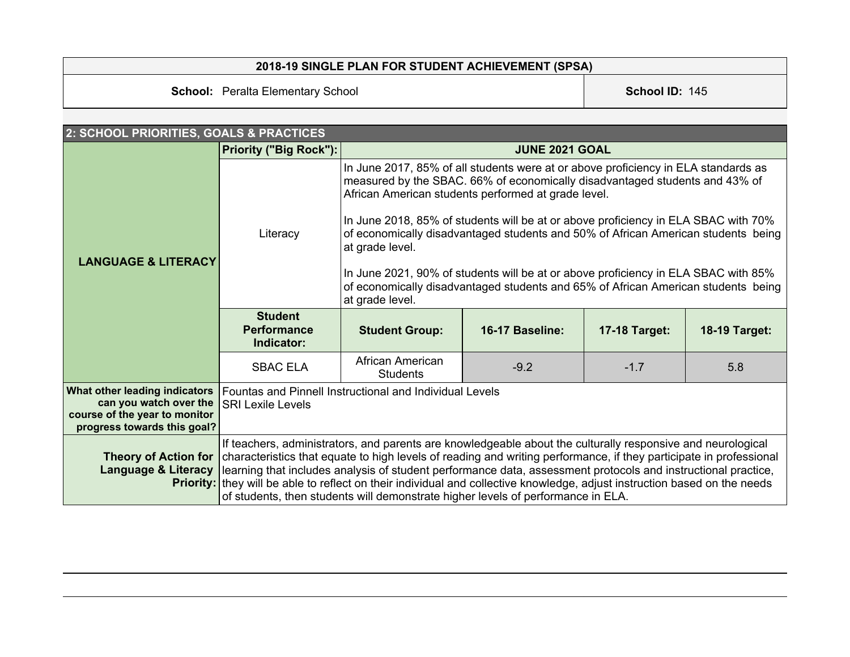## **2018-19 SINGLE PLAN FOR STUDENT ACHIEVEMENT (SPSA)**

**School:** Peralta Elementary School **School ID:** 145

| 2: SCHOOL PRIORITIES, GOALS & PRACTICES                                                                                 |                                                    |                                                                                                                                                                                                                                                                                                                                                                                                                                                                                                                                                                                                                      |                       |                      |                      |  |  |
|-------------------------------------------------------------------------------------------------------------------------|----------------------------------------------------|----------------------------------------------------------------------------------------------------------------------------------------------------------------------------------------------------------------------------------------------------------------------------------------------------------------------------------------------------------------------------------------------------------------------------------------------------------------------------------------------------------------------------------------------------------------------------------------------------------------------|-----------------------|----------------------|----------------------|--|--|
|                                                                                                                         | Priority ("Big Rock"):                             |                                                                                                                                                                                                                                                                                                                                                                                                                                                                                                                                                                                                                      | <b>JUNE 2021 GOAL</b> |                      |                      |  |  |
| <b>LANGUAGE &amp; LITERACY</b>                                                                                          | Literacy                                           | In June 2017, 85% of all students were at or above proficiency in ELA standards as<br>measured by the SBAC. 66% of economically disadvantaged students and 43% of<br>African American students performed at grade level.<br>In June 2018, 85% of students will be at or above proficiency in ELA SBAC with 70%<br>of economically disadvantaged students and 50% of African American students being<br>at grade level.<br>In June 2021, 90% of students will be at or above proficiency in ELA SBAC with 85%<br>of economically disadvantaged students and 65% of African American students being<br>at grade level. |                       |                      |                      |  |  |
|                                                                                                                         | <b>Student</b><br><b>Performance</b><br>Indicator: | <b>Student Group:</b>                                                                                                                                                                                                                                                                                                                                                                                                                                                                                                                                                                                                | 16-17 Baseline:       | <b>17-18 Target:</b> | <b>18-19 Target:</b> |  |  |
|                                                                                                                         | <b>SBAC ELA</b>                                    | African American<br><b>Students</b>                                                                                                                                                                                                                                                                                                                                                                                                                                                                                                                                                                                  | $-9.2$                | $-1.7$               | 5.8                  |  |  |
| What other leading indicators<br>can you watch over the<br>course of the year to monitor<br>progress towards this goal? | <b>SRI Lexile Levels</b>                           | Fountas and Pinnell Instructional and Individual Levels                                                                                                                                                                                                                                                                                                                                                                                                                                                                                                                                                              |                       |                      |                      |  |  |
| <b>Theory of Action for</b><br><b>Language &amp; Literacy</b>                                                           |                                                    | If teachers, administrators, and parents are knowledgeable about the culturally responsive and neurological<br>characteristics that equate to high levels of reading and writing performance, if they participate in professional<br>learning that includes analysis of student performance data, assessment protocols and instructional practice,<br><b>Priority:</b> they will be able to reflect on their individual and collective knowledge, adjust instruction based on the needs<br>of students, then students will demonstrate higher levels of performance in ELA.                                          |                       |                      |                      |  |  |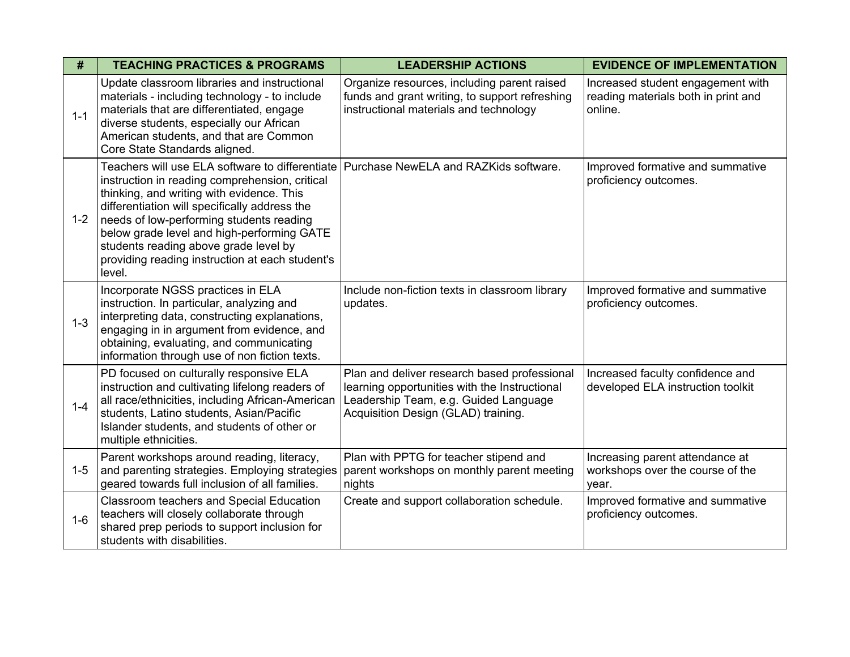| #       | <b>TEACHING PRACTICES &amp; PROGRAMS</b>                                                                                                                                                                                                                                                                                                                                                                                              | <b>LEADERSHIP ACTIONS</b>                                                                                                                                                     | <b>EVIDENCE OF IMPLEMENTATION</b>                                                   |
|---------|---------------------------------------------------------------------------------------------------------------------------------------------------------------------------------------------------------------------------------------------------------------------------------------------------------------------------------------------------------------------------------------------------------------------------------------|-------------------------------------------------------------------------------------------------------------------------------------------------------------------------------|-------------------------------------------------------------------------------------|
| $1 - 1$ | Update classroom libraries and instructional<br>materials - including technology - to include<br>materials that are differentiated, engage<br>diverse students, especially our African<br>American students, and that are Common<br>Core State Standards aligned.                                                                                                                                                                     | Organize resources, including parent raised<br>funds and grant writing, to support refreshing<br>instructional materials and technology                                       | Increased student engagement with<br>reading materials both in print and<br>online. |
| $1 - 2$ | Teachers will use ELA software to differentiate Purchase NewELA and RAZKids software.<br>instruction in reading comprehension, critical<br>thinking, and writing with evidence. This<br>differentiation will specifically address the<br>needs of low-performing students reading<br>below grade level and high-performing GATE<br>students reading above grade level by<br>providing reading instruction at each student's<br>level. |                                                                                                                                                                               | Improved formative and summative<br>proficiency outcomes.                           |
| $1 - 3$ | Incorporate NGSS practices in ELA<br>instruction. In particular, analyzing and<br>interpreting data, constructing explanations,<br>engaging in in argument from evidence, and<br>obtaining, evaluating, and communicating<br>information through use of non fiction texts.                                                                                                                                                            | Include non-fiction texts in classroom library<br>updates.                                                                                                                    | Improved formative and summative<br>proficiency outcomes.                           |
| $1 - 4$ | PD focused on culturally responsive ELA<br>instruction and cultivating lifelong readers of<br>all race/ethnicities, including African-American<br>students, Latino students, Asian/Pacific<br>Islander students, and students of other or<br>multiple ethnicities.                                                                                                                                                                    | Plan and deliver research based professional<br>learning opportunities with the Instructional<br>Leadership Team, e.g. Guided Language<br>Acquisition Design (GLAD) training. | Increased faculty confidence and<br>developed ELA instruction toolkit               |
| $1 - 5$ | Parent workshops around reading, literacy,<br>and parenting strategies. Employing strategies<br>geared towards full inclusion of all families.                                                                                                                                                                                                                                                                                        | Plan with PPTG for teacher stipend and<br>parent workshops on monthly parent meeting<br>nights                                                                                | Increasing parent attendance at<br>workshops over the course of the<br>year.        |
| $1 - 6$ | Classroom teachers and Special Education<br>teachers will closely collaborate through<br>shared prep periods to support inclusion for<br>students with disabilities.                                                                                                                                                                                                                                                                  | Create and support collaboration schedule.                                                                                                                                    | Improved formative and summative<br>proficiency outcomes.                           |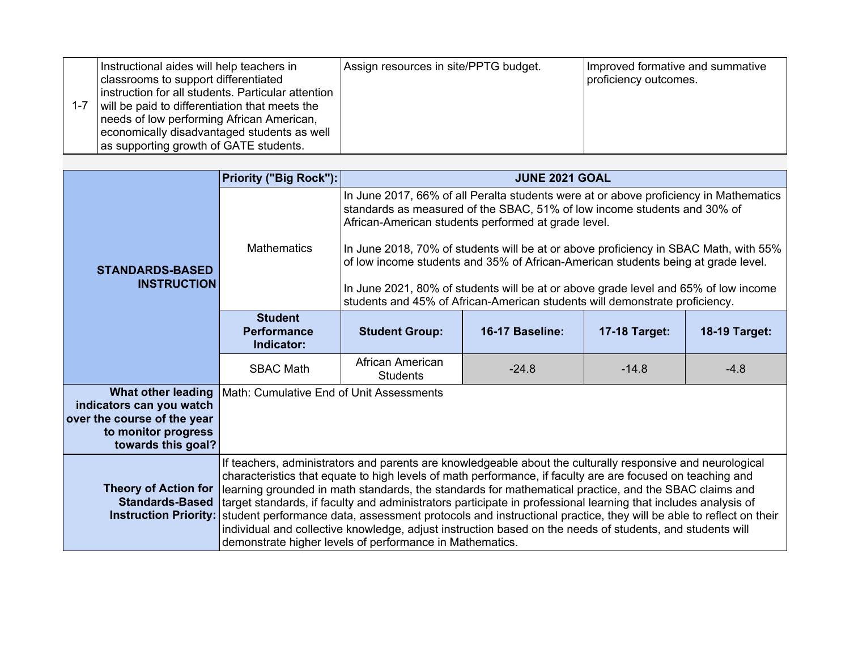|  | Instructional aides will help teachers in<br>classrooms to support differentiated<br>instruction for all students. Particular attention<br>will be paid to differentiation that meets the<br>needs of low performing African American,<br>economically disadvantaged students as well<br>as supporting growth of GATE students. | Assign resources in site/PPTG budget. | Improved formative and summative<br>proficiency outcomes. |
|--|---------------------------------------------------------------------------------------------------------------------------------------------------------------------------------------------------------------------------------------------------------------------------------------------------------------------------------|---------------------------------------|-----------------------------------------------------------|
|--|---------------------------------------------------------------------------------------------------------------------------------------------------------------------------------------------------------------------------------------------------------------------------------------------------------------------------------|---------------------------------------|-----------------------------------------------------------|

|                                                                                                                                   | Priority ("Big Rock"):                             |                                                                                                                                                                                                                                                                                                                                                                                                                                                                                                                                                                                                                                                                                                                                                  | <b>JUNE 2021 GOAL</b>                                                                                                                                                                                                                                                                                                                                                                                                                                                                                                                                                       |               |               |  |  |
|-----------------------------------------------------------------------------------------------------------------------------------|----------------------------------------------------|--------------------------------------------------------------------------------------------------------------------------------------------------------------------------------------------------------------------------------------------------------------------------------------------------------------------------------------------------------------------------------------------------------------------------------------------------------------------------------------------------------------------------------------------------------------------------------------------------------------------------------------------------------------------------------------------------------------------------------------------------|-----------------------------------------------------------------------------------------------------------------------------------------------------------------------------------------------------------------------------------------------------------------------------------------------------------------------------------------------------------------------------------------------------------------------------------------------------------------------------------------------------------------------------------------------------------------------------|---------------|---------------|--|--|
| <b>STANDARDS-BASED</b><br><b>INSTRUCTION</b>                                                                                      | <b>Mathematics</b>                                 |                                                                                                                                                                                                                                                                                                                                                                                                                                                                                                                                                                                                                                                                                                                                                  | In June 2017, 66% of all Peralta students were at or above proficiency in Mathematics<br>standards as measured of the SBAC, 51% of low income students and 30% of<br>African-American students performed at grade level.<br>In June 2018, 70% of students will be at or above proficiency in SBAC Math, with 55%<br>of low income students and 35% of African-American students being at grade level.<br>In June 2021, 80% of students will be at or above grade level and 65% of low income<br>students and 45% of African-American students will demonstrate proficiency. |               |               |  |  |
|                                                                                                                                   | <b>Student</b><br><b>Performance</b><br>Indicator: | <b>Student Group:</b>                                                                                                                                                                                                                                                                                                                                                                                                                                                                                                                                                                                                                                                                                                                            | 16-17 Baseline:                                                                                                                                                                                                                                                                                                                                                                                                                                                                                                                                                             | 17-18 Target: | 18-19 Target: |  |  |
|                                                                                                                                   | <b>SBAC Math</b>                                   | African American<br><b>Students</b>                                                                                                                                                                                                                                                                                                                                                                                                                                                                                                                                                                                                                                                                                                              | $-24.8$                                                                                                                                                                                                                                                                                                                                                                                                                                                                                                                                                                     | $-14.8$       | $-4.8$        |  |  |
| <b>What other leading</b><br>indicators can you watch<br>over the course of the year<br>to monitor progress<br>towards this goal? | Math: Cumulative End of Unit Assessments           |                                                                                                                                                                                                                                                                                                                                                                                                                                                                                                                                                                                                                                                                                                                                                  |                                                                                                                                                                                                                                                                                                                                                                                                                                                                                                                                                                             |               |               |  |  |
| <b>Theory of Action for</b><br><b>Standards-Based</b><br><b>Instruction Priority:</b>                                             |                                                    | If teachers, administrators and parents are knowledgeable about the culturally responsive and neurological<br>characteristics that equate to high levels of math performance, if faculty are are focused on teaching and<br>learning grounded in math standards, the standards for mathematical practice, and the SBAC claims and<br>target standards, if faculty and administrators participate in professional learning that includes analysis of<br>student performance data, assessment protocols and instructional practice, they will be able to reflect on their<br>individual and collective knowledge, adjust instruction based on the needs of students, and students will<br>demonstrate higher levels of performance in Mathematics. |                                                                                                                                                                                                                                                                                                                                                                                                                                                                                                                                                                             |               |               |  |  |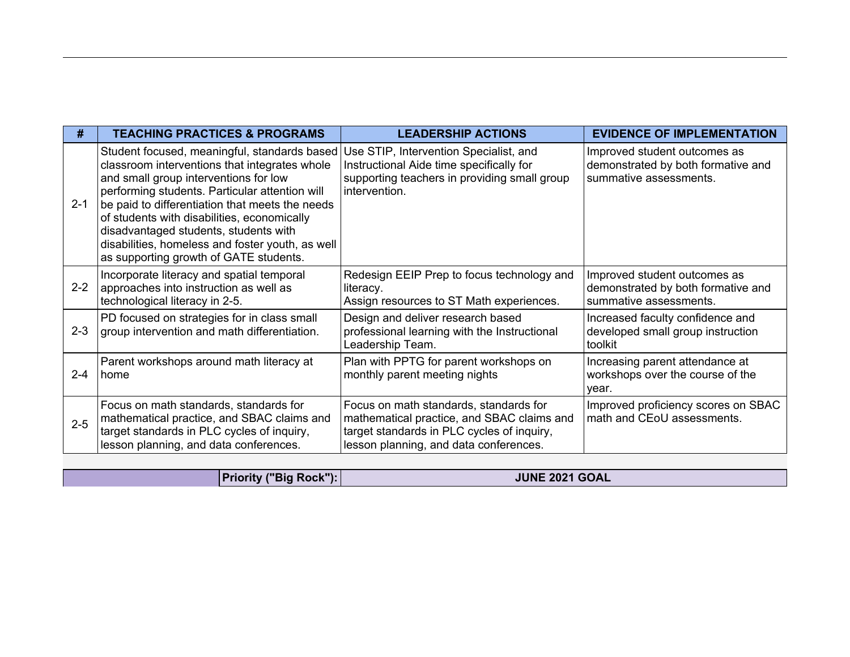| #       | <b>TEACHING PRACTICES &amp; PROGRAMS</b>                                                                                                                                                                                                                                                                                                                                                                                                                                   | <b>LEADERSHIP ACTIONS</b>                                                                                                                                                    | <b>EVIDENCE OF IMPLEMENTATION</b>                                                            |
|---------|----------------------------------------------------------------------------------------------------------------------------------------------------------------------------------------------------------------------------------------------------------------------------------------------------------------------------------------------------------------------------------------------------------------------------------------------------------------------------|------------------------------------------------------------------------------------------------------------------------------------------------------------------------------|----------------------------------------------------------------------------------------------|
| $2 - 1$ | Student focused, meaningful, standards based   Use STIP, Intervention Specialist, and<br>classroom interventions that integrates whole<br>and small group interventions for low<br>performing students. Particular attention will<br>be paid to differentiation that meets the needs<br>of students with disabilities, economically<br>disadvantaged students, students with<br>disabilities, homeless and foster youth, as well<br>as supporting growth of GATE students. | Instructional Aide time specifically for<br>supporting teachers in providing small group<br>intervention.                                                                    | Improved student outcomes as<br>demonstrated by both formative and<br>summative assessments. |
| $2 - 2$ | Incorporate literacy and spatial temporal<br>approaches into instruction as well as<br>technological literacy in 2-5.                                                                                                                                                                                                                                                                                                                                                      | Redesign EEIP Prep to focus technology and<br>literacy.<br>Assign resources to ST Math experiences.                                                                          | Improved student outcomes as<br>demonstrated by both formative and<br>summative assessments. |
| $2 - 3$ | PD focused on strategies for in class small<br>group intervention and math differentiation.                                                                                                                                                                                                                                                                                                                                                                                | Design and deliver research based<br>professional learning with the Instructional<br>Leadership Team.                                                                        | Increased faculty confidence and<br>developed small group instruction<br>toolkit             |
| $2 - 4$ | Parent workshops around math literacy at<br>home                                                                                                                                                                                                                                                                                                                                                                                                                           | Plan with PPTG for parent workshops on<br>monthly parent meeting nights                                                                                                      | Increasing parent attendance at<br>workshops over the course of the<br>year.                 |
| $2 - 5$ | Focus on math standards, standards for<br>mathematical practice, and SBAC claims and<br>target standards in PLC cycles of inquiry,<br>lesson planning, and data conferences.                                                                                                                                                                                                                                                                                               | Focus on math standards, standards for<br>mathematical practice, and SBAC claims and<br>target standards in PLC cycles of inquiry,<br>lesson planning, and data conferences. | Improved proficiency scores on SBAC<br>math and CEoU assessments.                            |

**Priority ("Big Rock"): JUNE 2021 GOAL**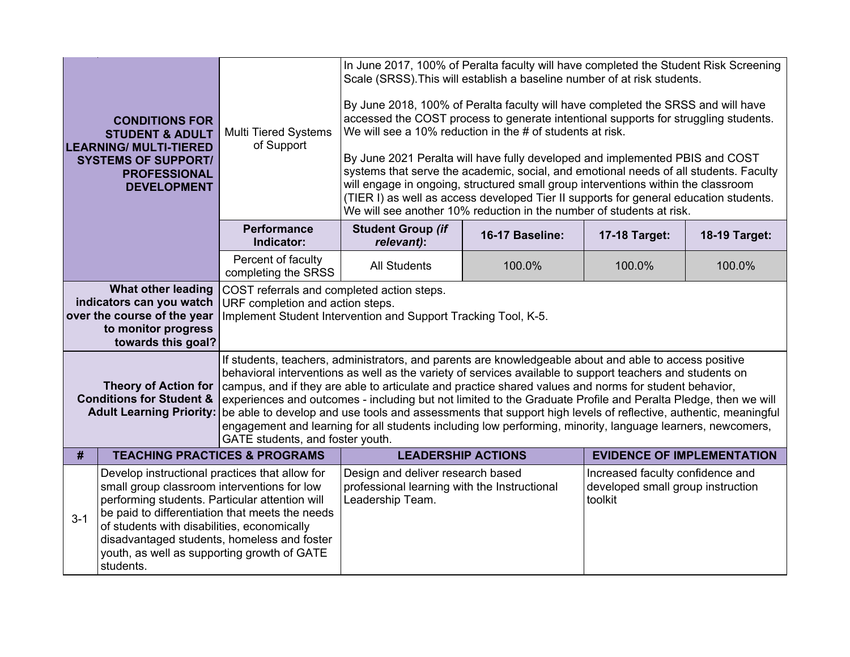|                                                                                                                                                                                                                                                                                                                                                                         | <b>CONDITIONS FOR</b><br><b>STUDENT &amp; ADULT</b><br><b>LEARNING/ MULTI-TIERED</b><br><b>SYSTEMS OF SUPPORT/</b><br><b>PROFESSIONAL</b><br><b>DEVELOPMENT</b> | <b>Multi Tiered Systems</b><br>of Support                                                                                                                                                                                                                                                                                                                                                                                                                                                                                                                                                                                                                                                                         | In June 2017, 100% of Peralta faculty will have completed the Student Risk Screening<br>Scale (SRSS). This will establish a baseline number of at risk students.<br>By June 2018, 100% of Peralta faculty will have completed the SRSS and will have<br>accessed the COST process to generate intentional supports for struggling students.<br>We will see a 10% reduction in the # of students at risk.<br>By June 2021 Peralta will have fully developed and implemented PBIS and COST<br>systems that serve the academic, social, and emotional needs of all students. Faculty<br>will engage in ongoing, structured small group interventions within the classroom<br>(TIER I) as well as access developed Tier II supports for general education students.<br>We will see another 10% reduction in the number of students at risk. |                 |                                   |               |
|-------------------------------------------------------------------------------------------------------------------------------------------------------------------------------------------------------------------------------------------------------------------------------------------------------------------------------------------------------------------------|-----------------------------------------------------------------------------------------------------------------------------------------------------------------|-------------------------------------------------------------------------------------------------------------------------------------------------------------------------------------------------------------------------------------------------------------------------------------------------------------------------------------------------------------------------------------------------------------------------------------------------------------------------------------------------------------------------------------------------------------------------------------------------------------------------------------------------------------------------------------------------------------------|-----------------------------------------------------------------------------------------------------------------------------------------------------------------------------------------------------------------------------------------------------------------------------------------------------------------------------------------------------------------------------------------------------------------------------------------------------------------------------------------------------------------------------------------------------------------------------------------------------------------------------------------------------------------------------------------------------------------------------------------------------------------------------------------------------------------------------------------|-----------------|-----------------------------------|---------------|
|                                                                                                                                                                                                                                                                                                                                                                         |                                                                                                                                                                 | <b>Performance</b><br>Indicator:                                                                                                                                                                                                                                                                                                                                                                                                                                                                                                                                                                                                                                                                                  | <b>Student Group (if</b><br>relevant):                                                                                                                                                                                                                                                                                                                                                                                                                                                                                                                                                                                                                                                                                                                                                                                                  | 16-17 Baseline: | 17-18 Target:                     | 18-19 Target: |
|                                                                                                                                                                                                                                                                                                                                                                         |                                                                                                                                                                 | Percent of faculty<br>completing the SRSS                                                                                                                                                                                                                                                                                                                                                                                                                                                                                                                                                                                                                                                                         | <b>All Students</b>                                                                                                                                                                                                                                                                                                                                                                                                                                                                                                                                                                                                                                                                                                                                                                                                                     | 100.0%          | 100.0%                            | 100.0%        |
|                                                                                                                                                                                                                                                                                                                                                                         | <b>What other leading</b><br>indicators can you watch<br>over the course of the year<br>to monitor progress<br>towards this goal?                               | COST referrals and completed action steps.<br>URF completion and action steps.<br>Implement Student Intervention and Support Tracking Tool, K-5.                                                                                                                                                                                                                                                                                                                                                                                                                                                                                                                                                                  |                                                                                                                                                                                                                                                                                                                                                                                                                                                                                                                                                                                                                                                                                                                                                                                                                                         |                 |                                   |               |
|                                                                                                                                                                                                                                                                                                                                                                         | <b>Theory of Action for</b><br><b>Conditions for Student &amp;</b><br><b>Adult Learning Priority:</b>                                                           | If students, teachers, administrators, and parents are knowledgeable about and able to access positive<br>behavioral interventions as well as the variety of services available to support teachers and students on<br>campus, and if they are able to articulate and practice shared values and norms for student behavior,<br>experiences and outcomes - including but not limited to the Graduate Profile and Peralta Pledge, then we will<br>be able to develop and use tools and assessments that support high levels of reflective, authentic, meaningful<br>engagement and learning for all students including low performing, minority, language learners, newcomers,<br>GATE students, and foster youth. |                                                                                                                                                                                                                                                                                                                                                                                                                                                                                                                                                                                                                                                                                                                                                                                                                                         |                 |                                   |               |
| #                                                                                                                                                                                                                                                                                                                                                                       | <b>TEACHING PRACTICES &amp; PROGRAMS</b>                                                                                                                        |                                                                                                                                                                                                                                                                                                                                                                                                                                                                                                                                                                                                                                                                                                                   | <b>LEADERSHIP ACTIONS</b>                                                                                                                                                                                                                                                                                                                                                                                                                                                                                                                                                                                                                                                                                                                                                                                                               |                 | <b>EVIDENCE OF IMPLEMENTATION</b> |               |
| Develop instructional practices that allow for<br>small group classroom interventions for low<br>performing students. Particular attention will<br>be paid to differentiation that meets the needs<br>$3 - 1$<br>of students with disabilities, economically<br>disadvantaged students, homeless and foster<br>youth, as well as supporting growth of GATE<br>students. |                                                                                                                                                                 | Design and deliver research based<br>Increased faculty confidence and<br>professional learning with the Instructional<br>developed small group instruction<br>Leadership Team.<br>toolkit                                                                                                                                                                                                                                                                                                                                                                                                                                                                                                                         |                                                                                                                                                                                                                                                                                                                                                                                                                                                                                                                                                                                                                                                                                                                                                                                                                                         |                 |                                   |               |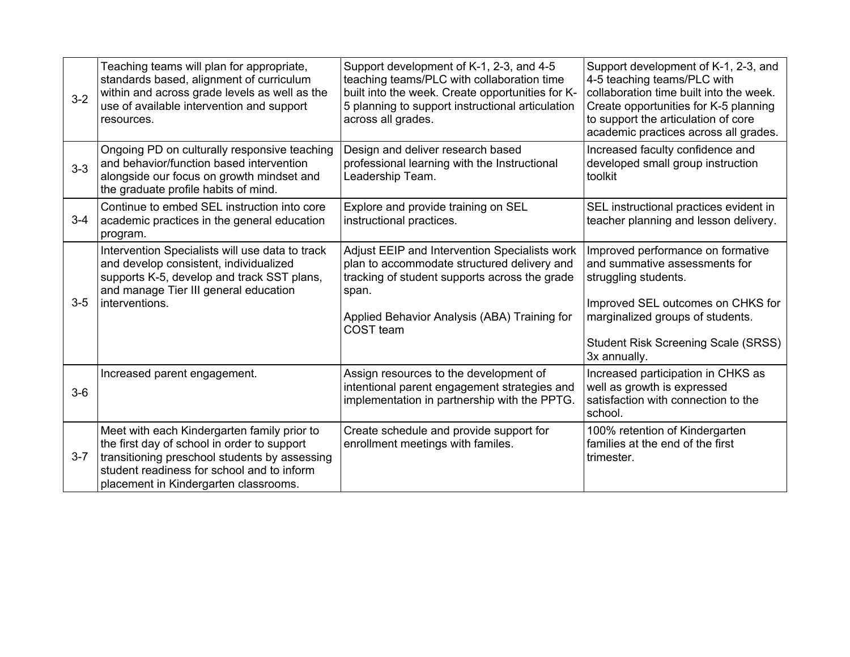| $3 - 2$ | Teaching teams will plan for appropriate,<br>standards based, alignment of curriculum<br>within and across grade levels as well as the<br>use of available intervention and support<br>resources.                                  | Support development of K-1, 2-3, and 4-5<br>teaching teams/PLC with collaboration time<br>built into the week. Create opportunities for K-<br>5 planning to support instructional articulation<br>across all grades. | Support development of K-1, 2-3, and<br>4-5 teaching teams/PLC with<br>collaboration time built into the week.<br>Create opportunities for K-5 planning<br>to support the articulation of core<br>academic practices across all grades. |
|---------|------------------------------------------------------------------------------------------------------------------------------------------------------------------------------------------------------------------------------------|----------------------------------------------------------------------------------------------------------------------------------------------------------------------------------------------------------------------|-----------------------------------------------------------------------------------------------------------------------------------------------------------------------------------------------------------------------------------------|
| $3-3$   | Ongoing PD on culturally responsive teaching<br>and behavior/function based intervention<br>alongside our focus on growth mindset and<br>the graduate profile habits of mind.                                                      | Design and deliver research based<br>professional learning with the Instructional<br>Leadership Team.                                                                                                                | Increased faculty confidence and<br>developed small group instruction<br>toolkit                                                                                                                                                        |
| $3 - 4$ | Continue to embed SEL instruction into core<br>academic practices in the general education<br>program.                                                                                                                             | Explore and provide training on SEL<br>instructional practices.                                                                                                                                                      | SEL instructional practices evident in<br>teacher planning and lesson delivery.                                                                                                                                                         |
| $3-5$   | Intervention Specialists will use data to track<br>and develop consistent, individualized<br>supports K-5, develop and track SST plans,<br>and manage Tier III general education<br>interventions.                                 | Adjust EEIP and Intervention Specialists work<br>plan to accommodate structured delivery and<br>tracking of student supports across the grade<br>span.<br>Applied Behavior Analysis (ABA) Training for<br>COST team  | Improved performance on formative<br>and summative assessments for<br>struggling students.<br>Improved SEL outcomes on CHKS for<br>marginalized groups of students.<br><b>Student Risk Screening Scale (SRSS)</b><br>3x annually.       |
| $3-6$   | Increased parent engagement.                                                                                                                                                                                                       | Assign resources to the development of<br>intentional parent engagement strategies and<br>implementation in partnership with the PPTG.                                                                               | Increased participation in CHKS as<br>well as growth is expressed<br>satisfaction with connection to the<br>school.                                                                                                                     |
| $3 - 7$ | Meet with each Kindergarten family prior to<br>the first day of school in order to support<br>transitioning preschool students by assessing<br>student readiness for school and to inform<br>placement in Kindergarten classrooms. | Create schedule and provide support for<br>enrollment meetings with familes.                                                                                                                                         | 100% retention of Kindergarten<br>families at the end of the first<br>trimester.                                                                                                                                                        |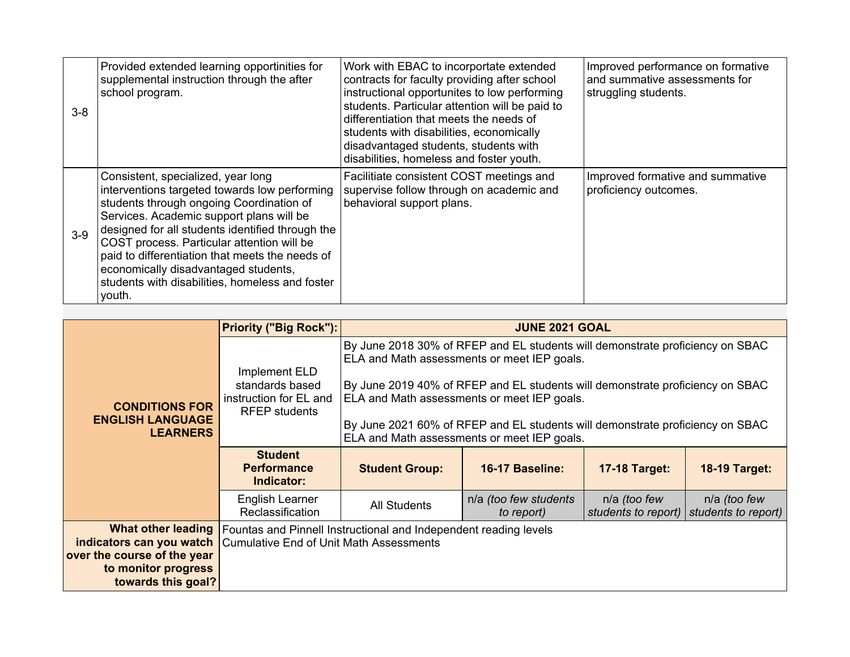| $3 - 8$ | Provided extended learning opportinities for<br>supplemental instruction through the after<br>school program.                                                                                                                                                                                                                                                                                                                         | Work with EBAC to incorportate extended<br>contracts for faculty providing after school<br>instructional opportunites to low performing<br>students. Particular attention will be paid to<br>differentiation that meets the needs of<br>students with disabilities, economically<br>disadvantaged students, students with<br>disabilities, homeless and foster youth. | Improved performance on formative<br>and summative assessments for<br>struggling students. |
|---------|---------------------------------------------------------------------------------------------------------------------------------------------------------------------------------------------------------------------------------------------------------------------------------------------------------------------------------------------------------------------------------------------------------------------------------------|-----------------------------------------------------------------------------------------------------------------------------------------------------------------------------------------------------------------------------------------------------------------------------------------------------------------------------------------------------------------------|--------------------------------------------------------------------------------------------|
| $3-9$   | Consistent, specialized, year long<br>interventions targeted towards low performing<br>students through ongoing Coordination of<br>Services. Academic support plans will be<br>designed for all students identified through the<br>COST process. Particular attention will be<br>paid to differentiation that meets the needs of<br>economically disadvantaged students,<br>students with disabilities, homeless and foster<br>youth. | Facilitiate consistent COST meetings and<br>supervise follow through on academic and<br>behavioral support plans.                                                                                                                                                                                                                                                     | Improved formative and summative<br>proficiency outcomes.                                  |

|                                                                                                                                                     | <b>Priority ("Big Rock"):</b>                                                      |                                                                                                                                                                                                                                                                                                                                                                                              | <b>JUNE 2021 GOAL</b>               |                                     |                                     |
|-----------------------------------------------------------------------------------------------------------------------------------------------------|------------------------------------------------------------------------------------|----------------------------------------------------------------------------------------------------------------------------------------------------------------------------------------------------------------------------------------------------------------------------------------------------------------------------------------------------------------------------------------------|-------------------------------------|-------------------------------------|-------------------------------------|
| <b>CONDITIONS FOR</b><br><b>ENGLISH LANGUAGE</b><br><b>LEARNERS</b>                                                                                 | Implement ELD<br>standards based<br>instruction for EL and<br><b>RFEP</b> students | By June 2018 30% of RFEP and EL students will demonstrate proficiency on SBAC<br>ELA and Math assessments or meet IEP goals.<br>By June 2019 40% of RFEP and EL students will demonstrate proficiency on SBAC<br>ELA and Math assessments or meet IEP goals.<br>By June 2021 60% of RFEP and EL students will demonstrate proficiency on SBAC<br>ELA and Math assessments or meet IEP goals. |                                     |                                     |                                     |
|                                                                                                                                                     | <b>Student</b><br><b>Performance</b><br>Indicator:                                 | <b>Student Group:</b>                                                                                                                                                                                                                                                                                                                                                                        | <b>16-17 Baseline:</b>              | <b>17-18 Target:</b>                | <b>18-19 Target:</b>                |
|                                                                                                                                                     | English Learner<br>Reclassification                                                | <b>All Students</b>                                                                                                                                                                                                                                                                                                                                                                          | n/a (too few students<br>to report) | n/a (too few<br>students to report) | n/a (too few<br>students to report) |
| <b>indicators can you watch</b> Cumulative End of Unit Math Assessments<br>over the course of the year<br>to monitor progress<br>towards this goal? |                                                                                    | <b>What other leading</b> Fountas and Pinnell Instructional and Independent reading levels                                                                                                                                                                                                                                                                                                   |                                     |                                     |                                     |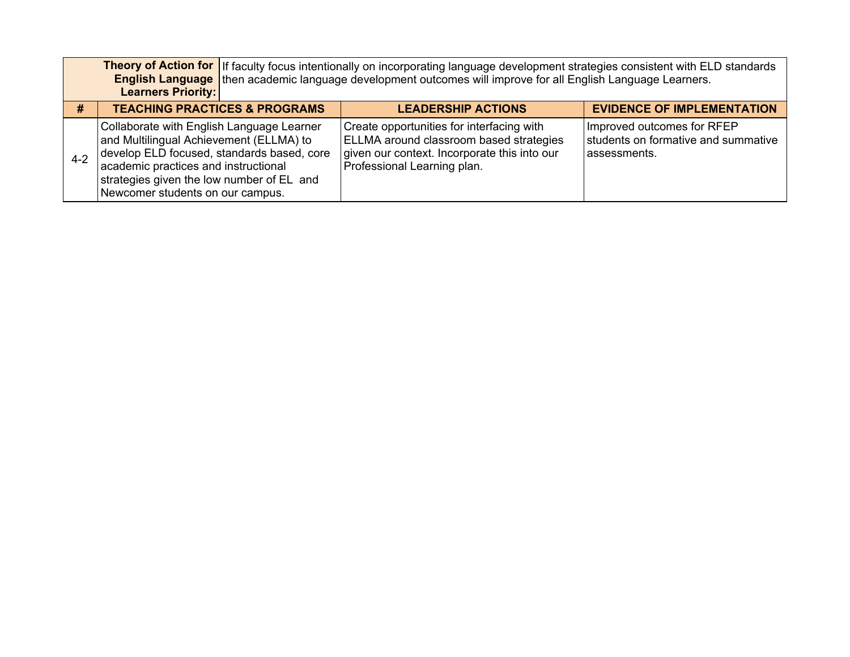|         | <b>Learners Priority:</b>                                                                                                                                                                                                                                   | Theory of Action for If faculty focus intentionally on incorporating language development strategies consistent with ELD standards<br><b>English Language</b> then academic language development outcomes will improve for all English Language Learners. |                                                                                    |  |  |  |  |
|---------|-------------------------------------------------------------------------------------------------------------------------------------------------------------------------------------------------------------------------------------------------------------|-----------------------------------------------------------------------------------------------------------------------------------------------------------------------------------------------------------------------------------------------------------|------------------------------------------------------------------------------------|--|--|--|--|
| #       | <b>TEACHING PRACTICES &amp; PROGRAMS</b>                                                                                                                                                                                                                    | <b>LEADERSHIP ACTIONS</b>                                                                                                                                                                                                                                 | <b>EVIDENCE OF IMPLEMENTATION</b>                                                  |  |  |  |  |
| $4 - 2$ | Collaborate with English Language Learner<br>and Multilingual Achievement (ELLMA) to<br>develop ELD focused, standards based, core<br>academic practices and instructional<br>strategies given the low number of EL and<br>Newcomer students on our campus. | Create opportunities for interfacing with<br><b>ELLMA</b> around classroom based strategies<br>given our context. Incorporate this into our<br>Professional Learning plan.                                                                                | Improved outcomes for RFEP<br>students on formative and summative<br>lassessments. |  |  |  |  |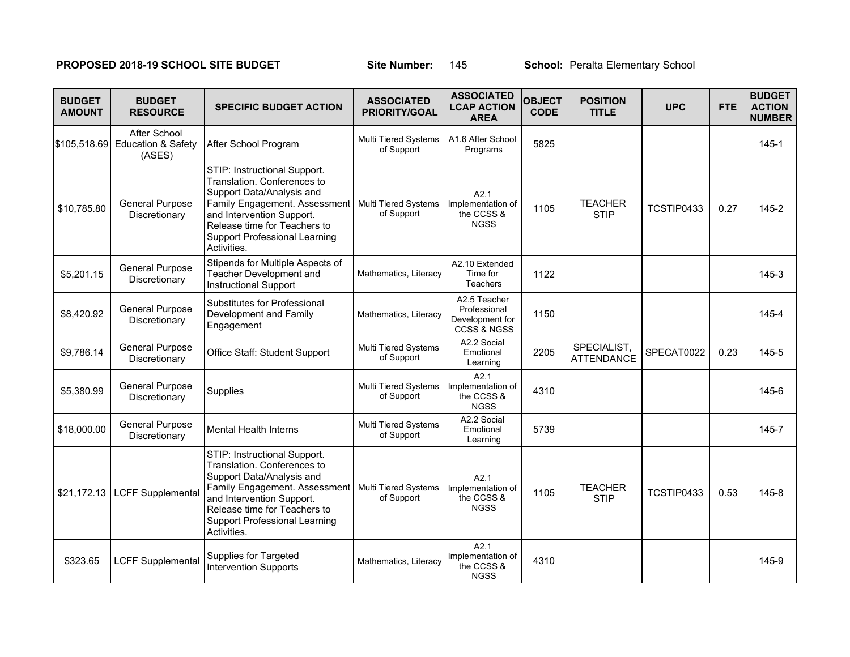## **PROPOSED 2018-19 SCHOOL SITE BUDGET Site Number: 145 School: Peralta Elementary School**

| <b>BUDGET</b><br><b>AMOUNT</b> | <b>BUDGET</b><br><b>RESOURCE</b>                        | <b>SPECIFIC BUDGET ACTION</b>                                                                                                                                                                                                                 | <b>ASSOCIATED</b><br>PRIORITY/GOAL        | <b>ASSOCIATED</b><br><b>LCAP ACTION</b><br><b>AREA</b>                    | <b>OBJECT</b><br><b>CODE</b> | <b>POSITION</b><br><b>TITLE</b>  | <b>UPC</b> | <b>FTE</b> | <b>BUDGET</b><br><b>ACTION</b><br><b>NUMBER</b> |
|--------------------------------|---------------------------------------------------------|-----------------------------------------------------------------------------------------------------------------------------------------------------------------------------------------------------------------------------------------------|-------------------------------------------|---------------------------------------------------------------------------|------------------------------|----------------------------------|------------|------------|-------------------------------------------------|
| \$105,518.69                   | After School<br><b>Education &amp; Safety</b><br>(ASES) | After School Program                                                                                                                                                                                                                          | Multi Tiered Systems<br>of Support        | IA1.6 After School<br>Programs                                            | 5825                         |                                  |            |            | $145 - 1$                                       |
| \$10,785.80                    | <b>General Purpose</b><br>Discretionary                 | STIP: Instructional Support.<br>Translation, Conferences to<br>Support Data/Analysis and<br>Family Engagement. Assessment<br>and Intervention Support.<br>Release time for Teachers to<br><b>Support Professional Learning</b><br>Activities. | Multi Tiered Systems<br>of Support        | A2.1<br>Implementation of<br>the CCSS &<br><b>NGSS</b>                    | 1105                         | <b>TEACHER</b><br><b>STIP</b>    | TCSTIP0433 | 0.27       | $145 - 2$                                       |
| \$5,201.15                     | <b>General Purpose</b><br>Discretionary                 | Stipends for Multiple Aspects of<br>Teacher Development and<br><b>Instructional Support</b>                                                                                                                                                   | Mathematics, Literacy                     | A2.10 Extended<br>Time for<br><b>Teachers</b>                             | 1122                         |                                  |            |            | $145 - 3$                                       |
| \$8,420.92                     | <b>General Purpose</b><br>Discretionary                 | Substitutes for Professional<br>Development and Family<br>Engagement                                                                                                                                                                          | Mathematics, Literacy                     | A2.5 Teacher<br>Professional<br>Development for<br><b>CCSS &amp; NGSS</b> | 1150                         |                                  |            |            | 145-4                                           |
| \$9,786.14                     | <b>General Purpose</b><br>Discretionary                 | Office Staff: Student Support                                                                                                                                                                                                                 | <b>Multi Tiered Systems</b><br>of Support | A2.2 Social<br>Emotional<br>Learning                                      | 2205                         | SPECIALIST,<br><b>ATTENDANCE</b> | SPECAT0022 | 0.23       | 145-5                                           |
| \$5,380.99                     | <b>General Purpose</b><br>Discretionary                 | Supplies                                                                                                                                                                                                                                      | <b>Multi Tiered Systems</b><br>of Support | A2.1<br>Implementation of<br>the CCSS &<br><b>NGSS</b>                    | 4310                         |                                  |            |            | 145-6                                           |
| \$18,000.00                    | <b>General Purpose</b><br>Discretionary                 | <b>Mental Health Interns</b>                                                                                                                                                                                                                  | Multi Tiered Systems<br>of Support        | A2.2 Social<br>Emotional<br>Learning                                      | 5739                         |                                  |            |            | 145-7                                           |
| \$21,172.13                    | LCFF Supplemental                                       | STIP: Instructional Support.<br>Translation. Conferences to<br>Support Data/Analysis and<br>Family Engagement. Assessment<br>and Intervention Support.<br>Release time for Teachers to<br><b>Support Professional Learning</b><br>Activities. | Multi Tiered Systems<br>of Support        | A2.1<br>Implementation of<br>the CCSS &<br><b>NGSS</b>                    | 1105                         | <b>TEACHER</b><br><b>STIP</b>    | TCSTIP0433 | 0.53       | $145 - 8$                                       |
| \$323.65                       | <b>LCFF Supplemental</b>                                | Supplies for Targeted<br><b>Intervention Supports</b>                                                                                                                                                                                         | Mathematics, Literacy                     | A2.1<br>Implementation of<br>the CCSS &<br><b>NGSS</b>                    | 4310                         |                                  |            |            | 145-9                                           |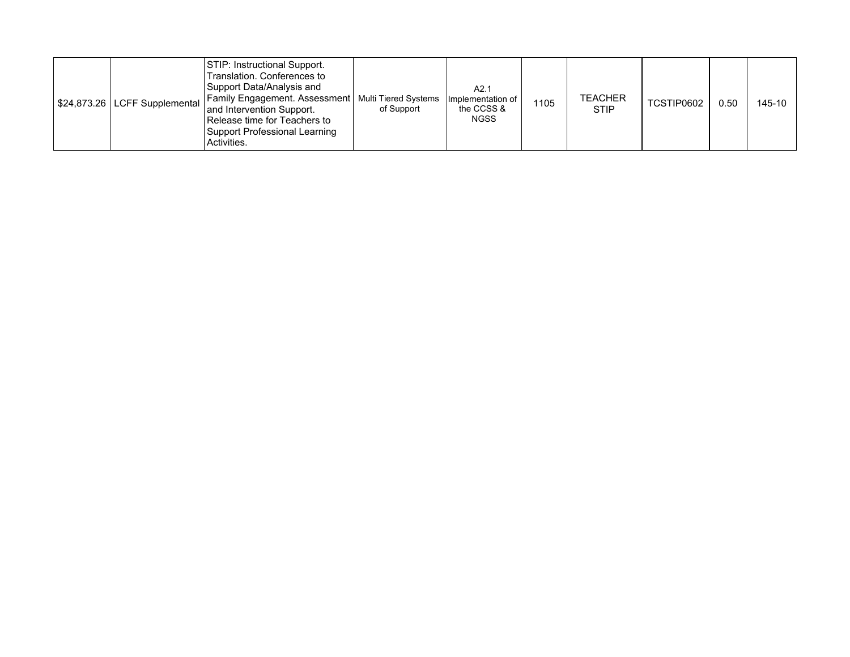|  |  | STIP: Instructional Support.<br>Translation, Conferences to<br>Support Data/Analysis and<br>S24,873.26   LCFF Supplemental   Family Engagement. Assessment   Multi Tiered Systems<br>and Intervention Support.<br>Release time for Teachers to<br><b>Support Professional Learning</b><br>Activities. | of Support | A2.1<br> Implementation of  <br>the CCSS &<br><b>NGSS</b> | 1105 | <b>TEACHER</b><br><b>STIP</b> | TCSTIP0602 | 0.50 | 145-10 |
|--|--|-------------------------------------------------------------------------------------------------------------------------------------------------------------------------------------------------------------------------------------------------------------------------------------------------------|------------|-----------------------------------------------------------|------|-------------------------------|------------|------|--------|
|--|--|-------------------------------------------------------------------------------------------------------------------------------------------------------------------------------------------------------------------------------------------------------------------------------------------------------|------------|-----------------------------------------------------------|------|-------------------------------|------------|------|--------|